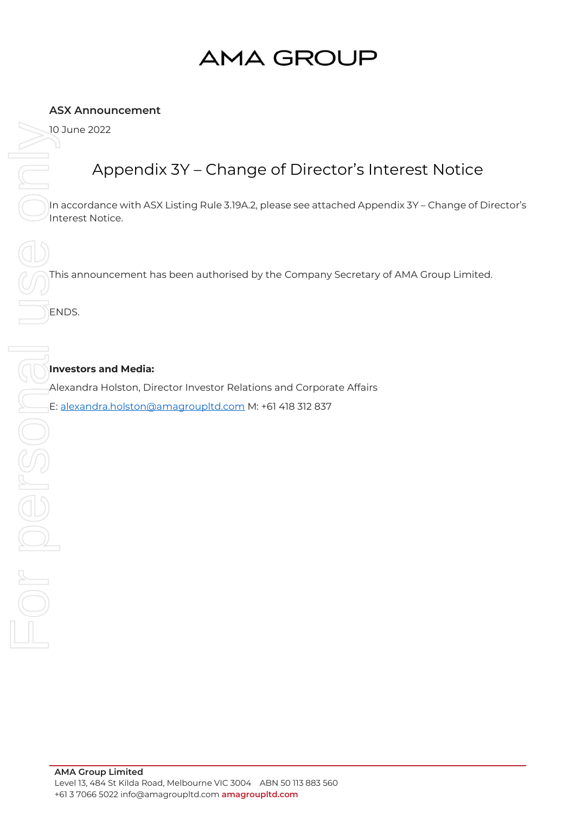# **AMA GROUP**

### **ASX Announcement**

### Appendix 3Y – Change of Director's Interest Notice

In accordance with ASX Listing Rule 3.19A.2, please see attached Appendix 3Y – Change of Director's Interest Notice.

This announcement has been authorised by the Company Secretary of AMA Group Limited.

ENDS.

### **Investors and Media:**

Alexandra Holston, Director Investor Relations and Corporate Affairs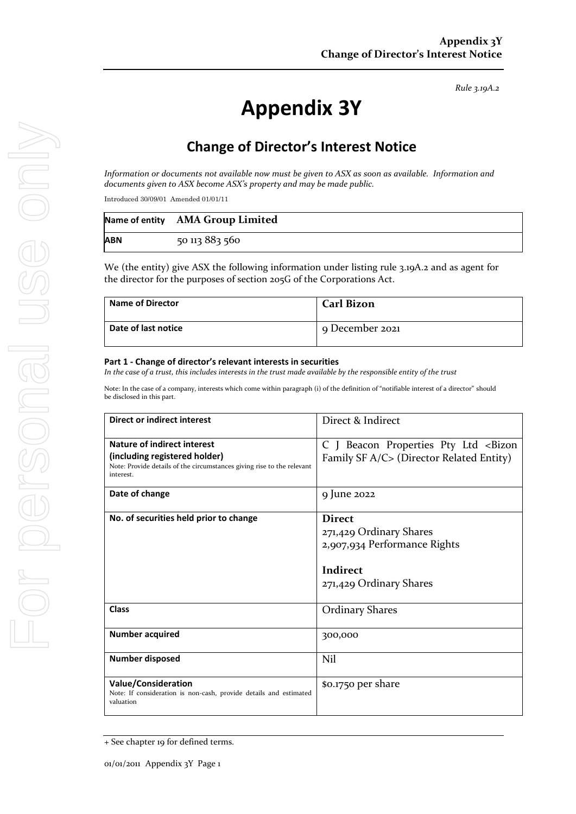*Rule 3.19A.2*

## **Appendix 3Y**

### **Change of Director's Interest Notice**

*Information or documents not available now must be given to ASX as soon as available. Information and documents given to ASX become ASX's property and may be made public.*

Introduced 30/09/01 Amended 01/01/11

|            | Name of entity AMA Group Limited |
|------------|----------------------------------|
| <b>ABN</b> | 50 113 883 560                   |

We (the entity) give ASX the following information under listing rule 3.19A.2 and as agent for the director for the purposes of section 205G of the Corporations Act.

| Name of Director    | <b>Carl Bizon</b> |
|---------------------|-------------------|
| Date of last notice | 9 December 2021   |

#### **Part 1 - Change of director's relevant interests in securities**

*In the case of a trust, this includes interests in the trust made available by the responsible entity of the trust*

Note: In the case of a company, interests which come within paragraph (i) of the definition of "notifiable interest of a director" should be disclosed in this part.

| Direct or indirect interest                                                                                                                         | Direct & Indirect                                                                                               |  |
|-----------------------------------------------------------------------------------------------------------------------------------------------------|-----------------------------------------------------------------------------------------------------------------|--|
| Nature of indirect interest<br>(including registered holder)<br>Note: Provide details of the circumstances giving rise to the relevant<br>interest. | C J Beacon Properties Pty Ltd <bizon<br>Family SF A/C&gt; (Director Related Entity)</bizon<br>                  |  |
| Date of change                                                                                                                                      | 9 June 2022                                                                                                     |  |
| No. of securities held prior to change                                                                                                              | <b>Direct</b><br>271,429 Ordinary Shares<br>2,907,934 Performance Rights<br>Indirect<br>271,429 Ordinary Shares |  |
| Class                                                                                                                                               | <b>Ordinary Shares</b>                                                                                          |  |
| <b>Number acquired</b>                                                                                                                              | 300,000                                                                                                         |  |
| <b>Number disposed</b>                                                                                                                              | Nil                                                                                                             |  |
| <b>Value/Consideration</b><br>Note: If consideration is non-cash, provide details and estimated<br>valuation                                        | \$0.1750 per share                                                                                              |  |

<sup>+</sup> See chapter 19 for defined terms.